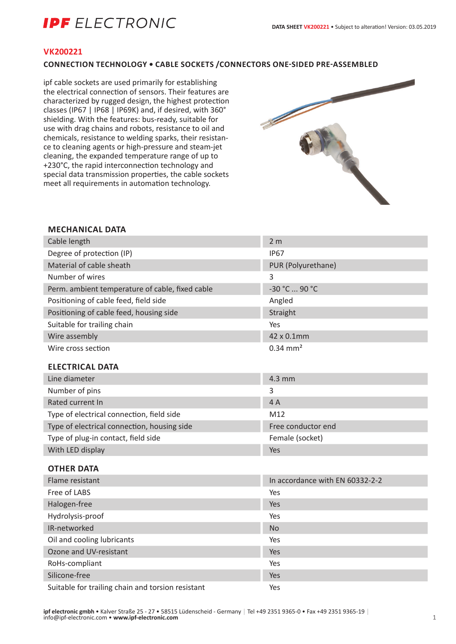# **IPF** ELECTRONIC

### **VK200221**

### **CONNECTION TECHNOLOGY • CABLE SOCKETS /CONNECTORS ONE-SIDED PRE-ASSEMBLED**

ipf cable sockets are used primarily for establishing the electrical connection of sensors. Their features are characterized by rugged design, the highest protection classes (IP67 | IP68 | IP69K) and, if desired, with 360° shielding. With the features: bus-ready, suitable for use with drag chains and robots, resistance to oil and chemicals, resistance to welding sparks, their resistance to cleaning agents or high-pressure and steam-jet cleaning, the expanded temperature range of up to +230°C, the rapid interconnection technology and special data transmission properties, the cable sockets meet all requirements in automation technology.



#### **MECHANICAL DATA**

| Cable length                                      | 2 <sub>m</sub>                  |
|---------------------------------------------------|---------------------------------|
| Degree of protection (IP)                         | <b>IP67</b>                     |
| Material of cable sheath                          | PUR (Polyurethane)              |
| Number of wires                                   | $\overline{3}$                  |
| Perm. ambient temperature of cable, fixed cable   | -30 °C  90 °C                   |
| Positioning of cable feed, field side             | Angled                          |
| Positioning of cable feed, housing side           | Straight                        |
| Suitable for trailing chain                       | Yes                             |
| Wire assembly                                     | 42 x 0.1mm                      |
| Wire cross section                                | $0.34 \, \text{mm}^2$           |
|                                                   |                                 |
| <b>ELECTRICAL DATA</b>                            |                                 |
| Line diameter                                     | 4.3 mm                          |
| Number of pins                                    | 3                               |
| Rated current In                                  | 4A                              |
| Type of electrical connection, field side         | M12                             |
| Type of electrical connection, housing side       | Free conductor end              |
| Type of plug-in contact, field side               | Female (socket)                 |
| With LED display                                  | Yes                             |
| <b>OTHER DATA</b>                                 |                                 |
| Flame resistant                                   | In accordance with EN 60332-2-2 |
| Free of LABS                                      | Yes                             |
| Halogen-free                                      | Yes                             |
| Hydrolysis-proof                                  | Yes                             |
| IR-networked                                      | <b>No</b>                       |
| Oil and cooling lubricants                        | Yes                             |
| Ozone and UV-resistant                            | Yes                             |
| RoHs-compliant                                    | Yes                             |
| Silicone-free                                     | Yes                             |
| Suitable for trailing chain and torsion resistant | Yes                             |